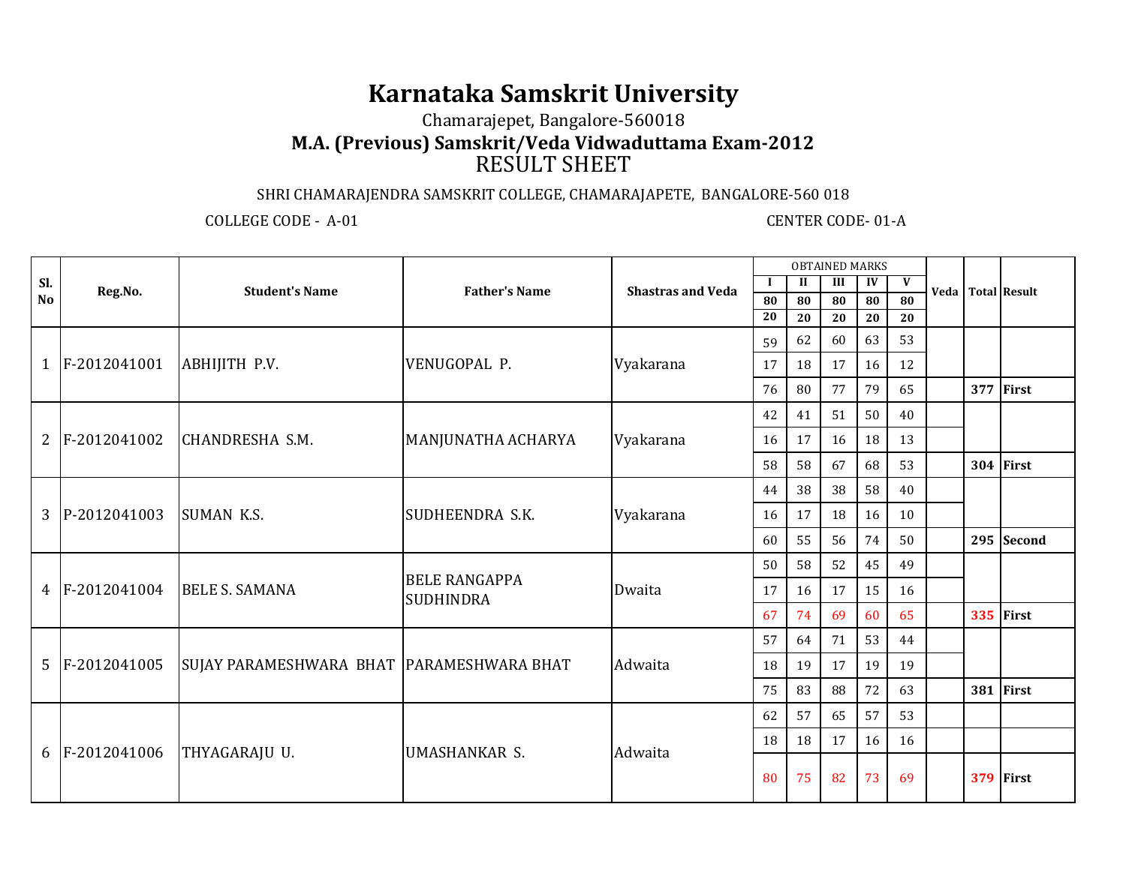## **Karnataka Samskrit University**

Chamarajepet, Bangalore-560018

**M.A. (Previous) Samskrit/Veda Vidwaduttama Exam-2012**

## RESULT SHEET

## SHRI CHAMARAJENDRA SAMSKRIT COLLEGE, CHAMARAJAPETE, BANGALORE-560 018

COLLEGE CODE - A-01 CENTER CODE- 01-A

|           |                |                                                    |                                          | <b>OBTAINED MARKS</b>    |         |              |    |    |    |  |     |                   |
|-----------|----------------|----------------------------------------------------|------------------------------------------|--------------------------|---------|--------------|----|----|----|--|-----|-------------------|
| SI.       | Reg.No.        | <b>Student's Name</b>                              | <b>Father's Name</b>                     | <b>Shastras and Veda</b> | $\bf I$ | $\mathbf{I}$ | Ш  | IV | V  |  |     | Veda Total Result |
| <b>No</b> |                |                                                    |                                          | 80                       | 80      | 80           | 80 | 80 |    |  |     |                   |
|           |                |                                                    |                                          |                          | 20      | 20           | 20 | 20 | 20 |  |     |                   |
|           |                |                                                    |                                          |                          | 59      | 62           | 60 | 63 | 53 |  |     |                   |
|           | 1 F-2012041001 | ABHIJITH P.V.                                      | VENUGOPAL P.                             | Vyakarana                | 17      | 18           | 17 | 16 | 12 |  |     |                   |
|           |                |                                                    |                                          |                          | 76      | 80           | 77 | 79 | 65 |  | 377 | First             |
|           |                |                                                    |                                          |                          | 42      | 41           | 51 | 50 | 40 |  |     |                   |
|           | 2 F-2012041002 | CHANDRESHA S.M.<br>MANJUNATHA ACHARYA<br>Vyakarana | 16                                       | 17                       | 16      | 18           | 13 |    |    |  |     |                   |
|           |                |                                                    |                                          |                          | 58      | 58           | 67 | 68 | 53 |  |     | 304 First         |
|           |                |                                                    |                                          |                          | 44      | 38           | 38 | 58 | 40 |  |     |                   |
|           | 3 P-2012041003 | <b>SUMAN K.S.</b>                                  | SUDHEENDRA S.K.                          | Vyakarana                | 16      | 17           | 18 | 16 | 10 |  |     |                   |
|           |                |                                                    |                                          |                          | 60      | 55           | 56 | 74 | 50 |  |     | 295 Second        |
|           |                |                                                    | <b>BELE RANGAPPA</b><br><b>SUDHINDRA</b> |                          | 50      | 58           | 52 | 45 | 49 |  |     |                   |
|           | 4 F-2012041004 | <b>BELE S. SAMANA</b>                              |                                          | Dwaita                   | 17      | 16           | 17 | 15 | 16 |  |     |                   |
|           |                |                                                    |                                          |                          | 67      | 74           | 69 | 60 | 65 |  |     | 335 First         |
|           |                |                                                    |                                          |                          | 57      | 64           | 71 | 53 | 44 |  |     |                   |
|           | 5 F-2012041005 | SUJAY PARAMESHWARA BHAT   PARAMESHWARA BHAT        |                                          | Adwaita                  | 18      | 19           | 17 | 19 | 19 |  |     |                   |
|           |                |                                                    |                                          |                          | 75      | 83           | 88 | 72 | 63 |  |     | 381 First         |
|           |                |                                                    |                                          |                          | 62      | 57           | 65 | 57 | 53 |  |     |                   |
|           |                |                                                    | <b>UMASHANKAR S.</b>                     | Adwaita                  | 18      | 18           | 17 | 16 | 16 |  |     |                   |
|           | 6 F-2012041006 | THYAGARAJU U.                                      |                                          |                          | 80      | 75           | 82 | 73 | 69 |  |     | 379 First         |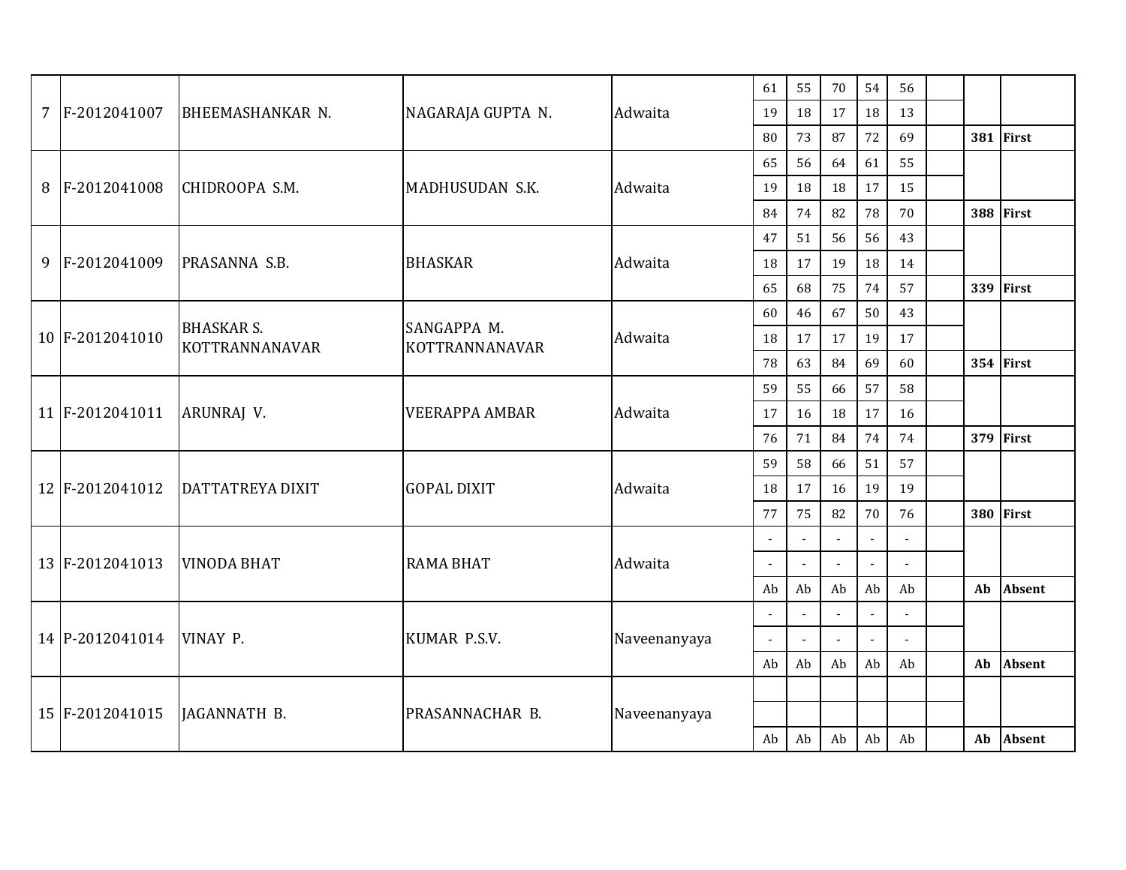|  | 7 F-2012041007  | BHEEMASHANKAR N.                    | NAGARAJA GUPTA N.             | Adwaita      | 61     | 55             | 70 | 54                       | 56             |                |               |
|--|-----------------|-------------------------------------|-------------------------------|--------------|--------|----------------|----|--------------------------|----------------|----------------|---------------|
|  |                 |                                     |                               |              | 19     | 18             | 17 | 18                       | 13             |                |               |
|  |                 |                                     |                               |              | 80     | 73             | 87 | 72                       | 69             |                | 381 First     |
|  |                 |                                     |                               |              | 65     | 56             | 64 | 61                       | 55             |                |               |
|  | 8 F-2012041008  | CHIDROOPA S.M.                      | MADHUSUDAN S.K.               | Adwaita      | 19     | 18             | 18 | 17                       | 15             |                |               |
|  |                 |                                     |                               |              | 84     | 74             | 82 | 78                       | 70             |                | 388 First     |
|  |                 |                                     |                               |              | 47     | 51             | 56 | 56                       | 43             |                |               |
|  | 9 F-2012041009  | PRASANNA S.B.                       | <b>BHASKAR</b>                | Adwaita      | 18     | 17             | 19 | 18                       | 14             |                |               |
|  |                 |                                     |                               |              | 65     | 68             | 75 | 74                       | 57             |                | 339 First     |
|  |                 |                                     |                               |              | 60     | 46             | 67 | 50                       | 43             |                |               |
|  | 10 F-2012041010 | <b>BHASKAR S.</b><br>KOTTRANNANAVAR | SANGAPPA M.<br>KOTTRANNANAVAR | Adwaita      | 18     | 17             | 17 | 19                       | 17             |                |               |
|  |                 |                                     |                               |              | 78     | 63             | 84 | 69                       | 60             |                | 354 First     |
|  | 11 F-2012041011 | ARUNRAJ V.                          | <b>VEERAPPA AMBAR</b>         | Adwaita      | 59     | 55             | 66 | 57                       | 58             |                |               |
|  |                 |                                     |                               |              | 17     | 16             | 18 | 17                       | 16             |                |               |
|  |                 |                                     |                               |              | 76     | 71             | 84 | 74                       | 74             |                | 379 First     |
|  |                 |                                     |                               |              | 59     | 58             | 66 | 51                       | 57             |                |               |
|  | 12 F-2012041012 | <b>DATTATREYA DIXIT</b>             | <b>GOPAL DIXIT</b>            | Adwaita      | 18     | 17             | 16 | 19                       | 19             |                |               |
|  |                 |                                     |                               |              | 77     | 75             | 82 | 70                       | 76             |                | 380 First     |
|  |                 |                                     |                               |              |        | $\blacksquare$ |    |                          | $\blacksquare$ |                |               |
|  | 13 F-2012041013 | <b>VINODA BHAT</b>                  | <b>RAMA BHAT</b>              | Adwaita      | $\sim$ | $\blacksquare$ |    | $\sim$                   |                |                |               |
|  |                 |                                     |                               |              | Ab     | Ab             | Ab | Ab                       | Ab             | Ab             | Absent        |
|  |                 |                                     |                               |              |        | $\mathbf{L}$   |    | $\blacksquare$           | $\overline{a}$ |                |               |
|  | 14 P-2012041014 | VINAY P.                            | KUMAR P.S.V.                  | Naveenanyaya | $\sim$ | $\blacksquare$ |    | $\overline{\phantom{a}}$ | $\blacksquare$ |                |               |
|  |                 |                                     |                               |              | Ab     | Ab             | Ab | Ab                       | Ab             | Ab             | <b>Absent</b> |
|  |                 |                                     |                               |              |        |                |    |                          |                |                |               |
|  | 15 F-2012041015 | JAGANNATH B.                        | PRASANNACHAR B.               | Naveenanyaya |        |                |    |                          |                |                |               |
|  |                 |                                     |                               |              | Ab     | Ab             | Ab | Ab                       | Ab             | A <sub>b</sub> | <b>Absent</b> |
|  |                 |                                     |                               |              |        |                |    |                          |                |                |               |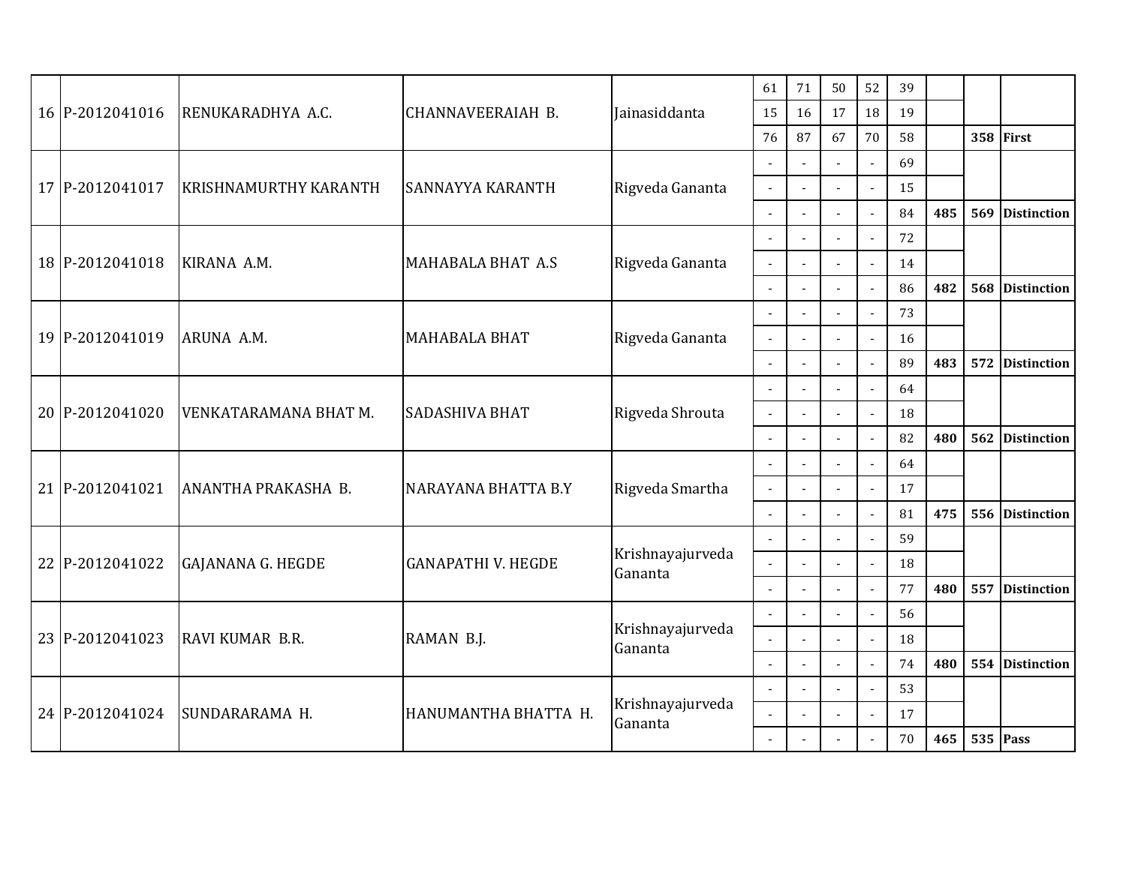|  | 16 P-2012041016 | RENUKARADHYA A.C.                          | CHANNAVEERAIAH B.         | Jainasiddanta            | 61             | 71                       | 50             | 52                       | 39 |     |     |                    |
|--|-----------------|--------------------------------------------|---------------------------|--------------------------|----------------|--------------------------|----------------|--------------------------|----|-----|-----|--------------------|
|  |                 |                                            |                           |                          | 15             | 16                       | 17             | 18                       | 19 |     |     |                    |
|  |                 |                                            |                           |                          | 76             | 87                       | 67             | 70                       | 58 |     |     | 358 First          |
|  |                 |                                            |                           |                          |                | $\overline{a}$           |                |                          | 69 |     |     |                    |
|  | 17 P-2012041017 | <b>KRISHNAMURTHY KARANTH</b>               | SANNAYYA KARANTH          | Rigveda Gananta          |                | $\blacksquare$           |                | $\mathbf{r}$             | 15 |     |     |                    |
|  |                 |                                            |                           |                          | $\overline{a}$ | $\overline{\phantom{a}}$ |                | $\overline{a}$           | 84 | 485 | 569 | <b>Distinction</b> |
|  |                 |                                            |                           |                          |                |                          |                | $\overline{a}$           | 72 |     |     |                    |
|  | 18 P-2012041018 | KIRANA A.M.                                | <b>MAHABALA BHAT A.S</b>  | Rigveda Gananta          |                |                          |                |                          | 14 |     |     |                    |
|  |                 |                                            |                           |                          | $\overline{a}$ |                          |                | $\blacksquare$           | 86 | 482 | 568 | <b>Distinction</b> |
|  |                 |                                            |                           |                          |                | $\overline{\phantom{a}}$ |                | 73<br>$\sim$             |    |     |     |                    |
|  | 19 P-2012041019 | ARUNA A.M.                                 | <b>MAHABALA BHAT</b>      | Rigveda Gananta          |                |                          |                | $\Box$                   | 16 |     |     |                    |
|  |                 |                                            |                           |                          |                | $\overline{a}$           |                |                          | 89 | 483 | 572 | <b>Distinction</b> |
|  | 20 P-2012041020 | VENKATARAMANA BHAT M.                      | <b>SADASHIVA BHAT</b>     | Rigveda Shrouta          |                |                          |                | $\blacksquare$           | 64 |     |     |                    |
|  |                 |                                            |                           |                          | $\overline{a}$ | $\sim$                   |                | $\overline{a}$           | 18 |     |     |                    |
|  |                 |                                            |                           |                          | $\sim$         | $\blacksquare$           |                | $\blacksquare$           | 82 | 480 | 562 | <b>Distinction</b> |
|  |                 |                                            |                           |                          |                |                          |                | $\blacksquare$           | 64 |     |     |                    |
|  | 21 P-2012041021 | ANANTHA PRAKASHA B.<br>NARAYANA BHATTA B.Y | Rigveda Smartha           | $\overline{\phantom{a}}$ | $\blacksquare$ |                          | $\blacksquare$ | 17                       |    |     |     |                    |
|  |                 |                                            |                           |                          | $\sim$         | $\overline{a}$           |                | $\mathbf{L}$             | 81 | 475 | 556 | <b>Distinction</b> |
|  |                 |                                            |                           |                          |                | $\overline{a}$           |                | $\overline{a}$           | 59 |     |     |                    |
|  | 22 P-2012041022 | <b>GAJANANA G. HEGDE</b>                   | <b>GANAPATHI V. HEGDE</b> | Krishnayajurveda         |                |                          |                | $\overline{\phantom{a}}$ | 18 |     |     |                    |
|  |                 |                                            |                           | Gananta                  |                | $\blacksquare$           |                | $\blacksquare$           | 77 | 480 | 557 | <b>Distinction</b> |
|  |                 |                                            |                           |                          |                | $\overline{a}$           |                | $\overline{a}$           | 56 |     |     |                    |
|  | 23 P-2012041023 | RAVI KUMAR B.R.                            | RAMAN B.J.                | Krishnayajurveda         |                | $\mathbf{r}$             |                | $\blacksquare$           | 18 |     |     |                    |
|  |                 |                                            |                           | Gananta                  |                | $\overline{a}$           |                | $\blacksquare$           | 74 | 480 | 554 | <b>Distinction</b> |
|  |                 |                                            | HANUMANTHA BHATTA H.      |                          |                |                          |                | $\mathbf{r}$             | 53 |     |     |                    |
|  | 24 P-2012041024 | SUNDARARAMA H.                             |                           | Krishnayajurveda         |                | $\blacksquare$           |                | $\mathbf{L}$             | 17 |     |     |                    |
|  |                 |                                            |                           | Gananta                  | $\sim$         |                          |                | $\blacksquare$           | 70 | 465 |     | <b>535 Pass</b>    |
|  |                 |                                            |                           |                          |                |                          |                |                          |    |     |     |                    |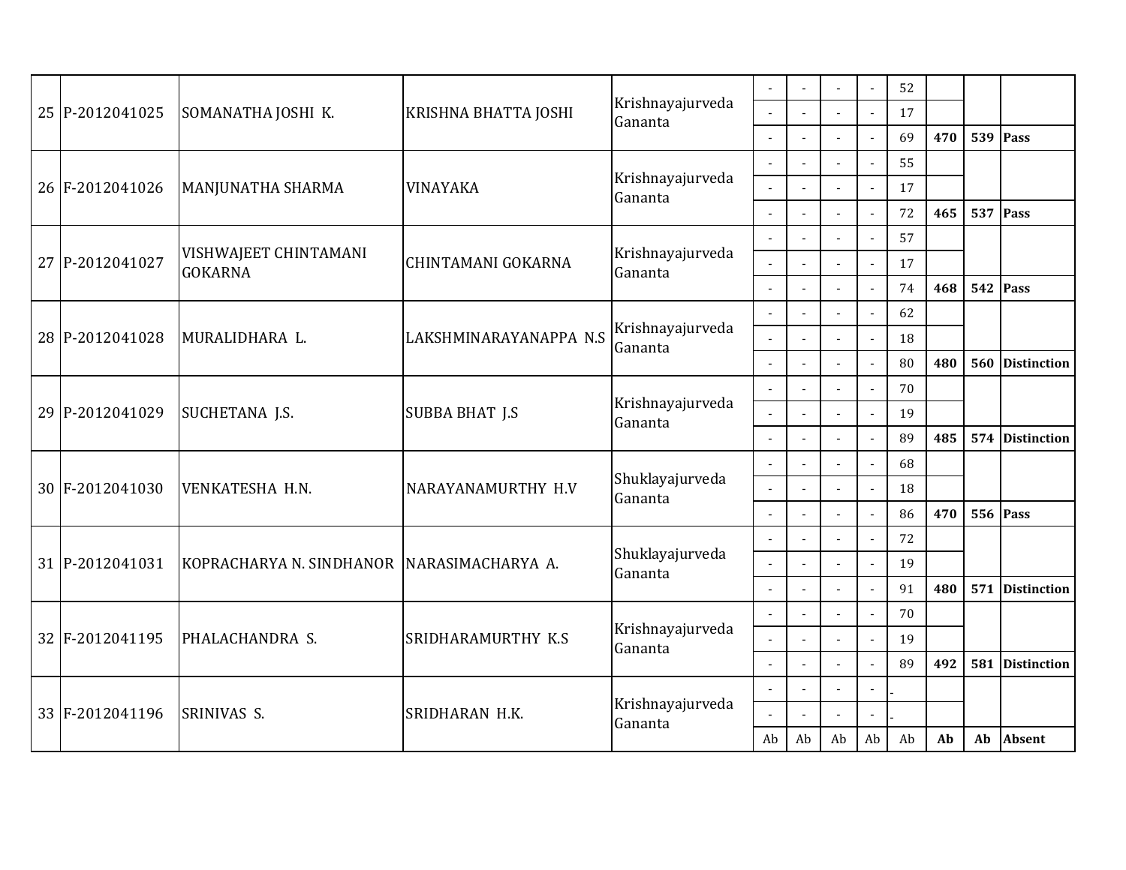|  | 25 P-2012041025<br>SOMANATHA JOSHI K. |                                            | KRISHNA BHATTA JOSHI   | Krishnayajurveda            |                          | $\blacksquare$           |                | $\blacksquare$<br>$\mathcal{L}_{\mathcal{A}}$ | 52<br>17 |     |                 |                    |
|--|---------------------------------------|--------------------------------------------|------------------------|-----------------------------|--------------------------|--------------------------|----------------|-----------------------------------------------|----------|-----|-----------------|--------------------|
|  |                                       |                                            |                        | Gananta                     | $\overline{a}$           |                          |                | $\blacksquare$                                | 69       | 470 |                 | <b>539 Pass</b>    |
|  |                                       |                                            |                        |                             |                          |                          |                | $\overline{a}$                                | 55       |     |                 |                    |
|  | 26 F-2012041026                       | MANJUNATHA SHARMA                          | <b>VINAYAKA</b>        | Krishnayajurveda            |                          |                          |                | $\overline{\phantom{a}}$                      | 17       |     |                 |                    |
|  |                                       |                                            |                        | Gananta                     | $\sim$                   | $\sim$                   |                | $\mathcal{L}_{\mathcal{A}}$                   | 72       | 465 |                 | 537 Pass           |
|  |                                       |                                            |                        |                             |                          |                          |                | $\overline{a}$                                | 57       |     |                 |                    |
|  | 27 P-2012041027                       | VISHWAJEET CHINTAMANI<br><b>GOKARNA</b>    | CHINTAMANI GOKARNA     | Krishnayajurveda<br>Gananta | $\overline{a}$           |                          |                | $\overline{\phantom{a}}$                      | 17       |     |                 |                    |
|  |                                       |                                            |                        |                             |                          | $\overline{a}$           |                | $\overline{a}$                                | 74       | 468 | 542             | Pass               |
|  |                                       |                                            |                        |                             |                          |                          |                | $\mathbf{r}$                                  | 62       |     |                 |                    |
|  | 28 P-2012041028                       | MURALIDHARA L.                             | LAKSHMINARAYANAPPA N.S | Krishnayajurveda<br>Gananta |                          |                          |                | $\mathbf{r}$                                  | 18       |     |                 |                    |
|  |                                       |                                            |                        |                             |                          | $\blacksquare$           |                | $\overline{a}$                                | 80       | 480 | 560             | <b>Distinction</b> |
|  | SUCHETANA J.S.<br>29 P-2012041029     |                                            | <b>SUBBA BHAT J.S</b>  | Krishnayajurveda<br>Gananta |                          |                          |                | $\overline{\phantom{a}}$                      | 70       |     |                 |                    |
|  |                                       |                                            |                        |                             |                          |                          |                | $\overline{a}$                                | 19       |     |                 |                    |
|  |                                       |                                            |                        |                             | $\sim$                   |                          |                | $\Box$                                        | 89       | 485 | 574             | <b>Distinction</b> |
|  |                                       |                                            |                        |                             |                          |                          |                | $\overline{\phantom{a}}$                      | 68       |     |                 |                    |
|  | 30 F-2012041030                       | VENKATESHA H.N.                            | NARAYANAMURTHY H.V     | Shuklayajurveda<br>Gananta  |                          |                          |                | $\overline{\phantom{a}}$                      | 18       |     |                 |                    |
|  |                                       |                                            |                        | $\overline{a}$              | $\sim$                   |                          | $\overline{a}$ | 86                                            | 470      |     | <b>556 Pass</b> |                    |
|  |                                       |                                            |                        |                             |                          |                          |                | $\overline{\phantom{a}}$                      | 72       |     |                 |                    |
|  | 31 P-2012041031                       | KOPRACHARYA N. SINDHANOR NARASIMACHARYA A. |                        | Shuklayajurveda<br>Gananta  |                          |                          |                | $\overline{a}$                                | 19       |     |                 |                    |
|  |                                       |                                            |                        |                             | $\overline{a}$           | $\overline{a}$           |                | $\overline{\phantom{a}}$                      | 91       | 480 | 571             | <b>Distinction</b> |
|  |                                       |                                            |                        | Krishnayajurveda            |                          | $\overline{\phantom{a}}$ |                | $\overline{a}$                                | 70       |     |                 |                    |
|  | 32 F-2012041195                       | PHALACHANDRA S.                            | SRIDHARAMURTHY K.S     | Gananta                     |                          | $\blacksquare$           |                | $\blacksquare$                                | 19       |     |                 |                    |
|  |                                       |                                            |                        |                             |                          | $\overline{a}$           |                | $\overline{a}$                                | 89       | 492 | 581             | <b>Distinction</b> |
|  |                                       |                                            | SRIDHARAN H.K.         | Krishnayajurveda            | $\overline{\phantom{a}}$ | $\sim$                   |                | $\blacksquare$                                |          |     |                 |                    |
|  | 33 F-2012041196                       | SRINIVAS S.                                |                        | Gananta                     |                          | $\overline{\phantom{a}}$ |                | $\overline{a}$                                |          |     |                 |                    |
|  |                                       |                                            |                        |                             | Ab                       | Ab                       | Ab             | Ab                                            | Ab       | Ab  | Ab              | <b>Absent</b>      |